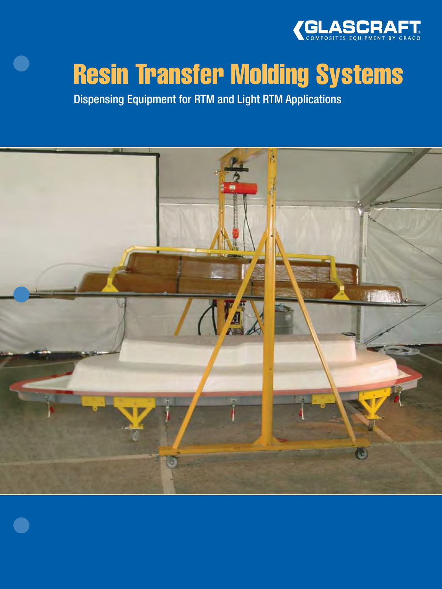

# Resin Transfer Molding Systems

Dispensing Equipment for RTM and Light RTM Applications

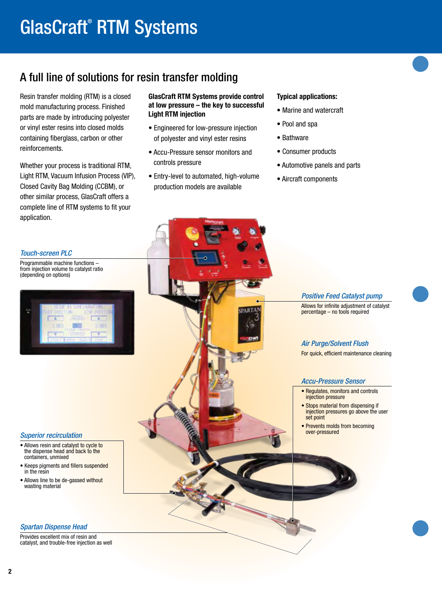# GlasCraft® RTM Systems

# A full line of solutions for resin transfer molding

Resin transfer molding (RTM) is a closed mold manufacturing process. Finished parts are made by introducing polyester or vinyl ester resins into closed molds containing fiberglass, carbon or other reinforcements.

Whether your process is traditional RTM, Light RTM, Vacuum Infusion Process (VIP), Closed Cavity Bag Molding (CCBM), or other similar process, GlasCraft offers a complete line of RTM systems to fit your application.

#### GlasCraft RTM Systems provide control at low pressure – the key to successful Light RTM injection

- Engineered for low-pressure injection of polyester and vinyl ester resins
- Accu-Pressure sensor monitors and controls pressure
- Entry-level to automated, high-volume production models are available

#### Typical applications:

- Marine and watercraft
- Pool and spa
- Bathware
- Consumer products
- Automotive panels and parts
- Aircraft components

### *Touch-screen PLC*

Programmable machine functions – from injection volume to catalyst ratio (depending on options)

|                 | enter the control of |                 |
|-----------------|----------------------|-----------------|
| <b>POSITION</b> | <b>HOSE</b>          | 0109.90011<br>m |
|                 |                      |                 |
| LIME            |                      | 0.01%           |
|                 | LICEPEL              |                 |

#### *Superior recirculation*

- Allows resin and catalyst to cycle to the dispense head and back to the containers, unmixed
- Keeps pigments and fillers suspended in the resin
- Allows line to be de-gassed without wasting material

#### *Spartan Dispense Head*

Provides excellent mix of resin and catalyst, and trouble-free injection as well *Positive Feed Catalyst pump*

Allows for infinite adjustment of catalyst percentage – no tools required

## *Air Purge/Solvent Flush*

For quick, efficient maintenance cleaning

#### *Accu-Pressure Sensor*

- Regulates, monitors and controls injection pressure
- Stops material from dispensing if injection pressures go above the user set point
- Prevents molds from becoming over-pressured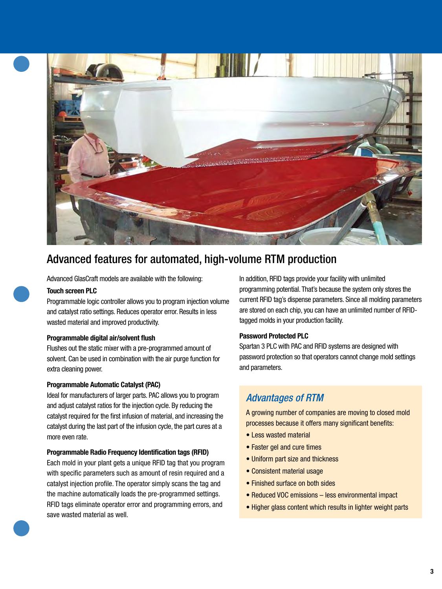

# Advanced features for automated, high-volume RTM production

Advanced GlasCraft models are available with the following:

#### Touch screen PLC

Programmable logic controller allows you to program injection volume and catalyst ratio settings. Reduces operator error. Results in less wasted material and improved productivity.

#### Programmable digital air/solvent flush

Flushes out the static mixer with a pre-programmed amount of solvent. Can be used in combination with the air purge function for extra cleaning power.

#### Programmable Automatic Catalyst (PAC)

Ideal for manufacturers of larger parts. PAC allows you to program and adjust catalyst ratios for the injection cycle. By reducing the catalyst required for the first infusion of material, and increasing the catalyst during the last part of the infusion cycle, the part cures at a more even rate.

#### Programmable Radio Frequency Identification tags (RFID)

Each mold in your plant gets a unique RFID tag that you program with specific parameters such as amount of resin required and a catalyst injection profile. The operator simply scans the tag and the machine automatically loads the pre-programmed settings. RFID tags eliminate operator error and programming errors, and save wasted material as well.

In addition, RFID tags provide your facility with unlimited programming potential. That's because the system only stores the current RFID tag's dispense parameters. Since all molding parameters are stored on each chip, you can have an unlimited number of RFIDtagged molds in your production facility.

#### Password Protected PLC

Spartan 3 PLC with PAC and RFID systems are designed with password protection so that operators cannot change mold settings and parameters.

# *Advantages of RTM*

A growing number of companies are moving to closed mold processes because it offers many significant benefits:

- Less wasted material
- Faster gel and cure times
- Uniform part size and thickness
- Consistent material usage
- Finished surface on both sides
- Reduced VOC emissions less environmental impact
- Higher glass content which results in lighter weight parts